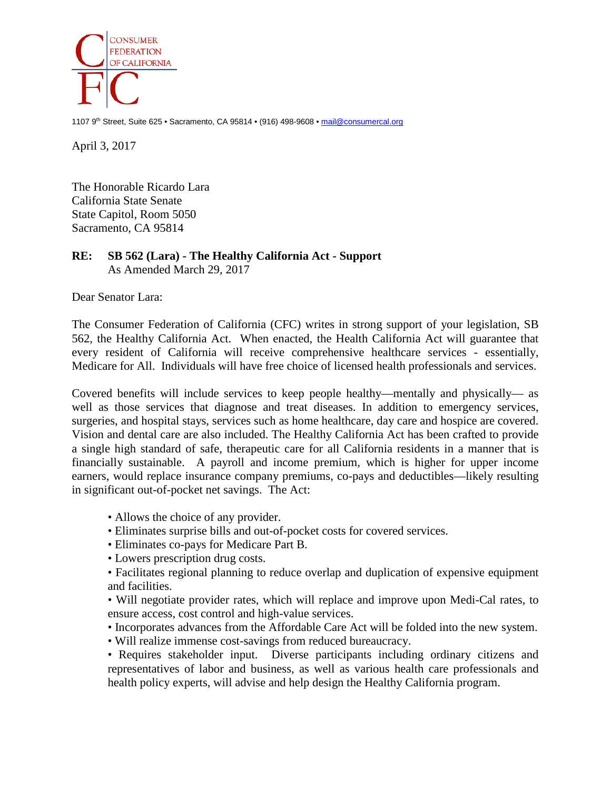

1107 9th Street, Suite 625 • Sacramento, CA 95814 • (916) 498-9608 • [mail@consumercal.org](mailto:mail@consumercal.org)

April 3, 2017

The Honorable Ricardo Lara California State Senate State Capitol, Room 5050 Sacramento, CA 95814

## **RE: SB 562 (Lara) - The Healthy California Act - Support** As Amended March 29, 2017

Dear Senator Lara:

The Consumer Federation of California (CFC) writes in strong support of your legislation, SB 562, the Healthy California Act. When enacted, the Health California Act will guarantee that every resident of California will receive comprehensive healthcare services - essentially, Medicare for All. Individuals will have free choice of licensed health professionals and services.

Covered benefits will include services to keep people healthy—mentally and physically— as well as those services that diagnose and treat diseases. In addition to emergency services, surgeries, and hospital stays, services such as home healthcare, day care and hospice are covered. Vision and dental care are also included. The Healthy California Act has been crafted to provide a single high standard of safe, therapeutic care for all California residents in a manner that is financially sustainable. A payroll and income premium, which is higher for upper income earners, would replace insurance company premiums, co-pays and deductibles—likely resulting in significant out-of-pocket net savings. The Act:

- Allows the choice of any provider.
- Eliminates surprise bills and out-of-pocket costs for covered services.
- Eliminates co-pays for Medicare Part B.
- Lowers prescription drug costs.
- Facilitates regional planning to reduce overlap and duplication of expensive equipment and facilities.

• Will negotiate provider rates, which will replace and improve upon Medi-Cal rates, to ensure access, cost control and high-value services.

- Incorporates advances from the Affordable Care Act will be folded into the new system.
- Will realize immense cost-savings from reduced bureaucracy.

• Requires stakeholder input. Diverse participants including ordinary citizens and representatives of labor and business, as well as various health care professionals and health policy experts, will advise and help design the Healthy California program.